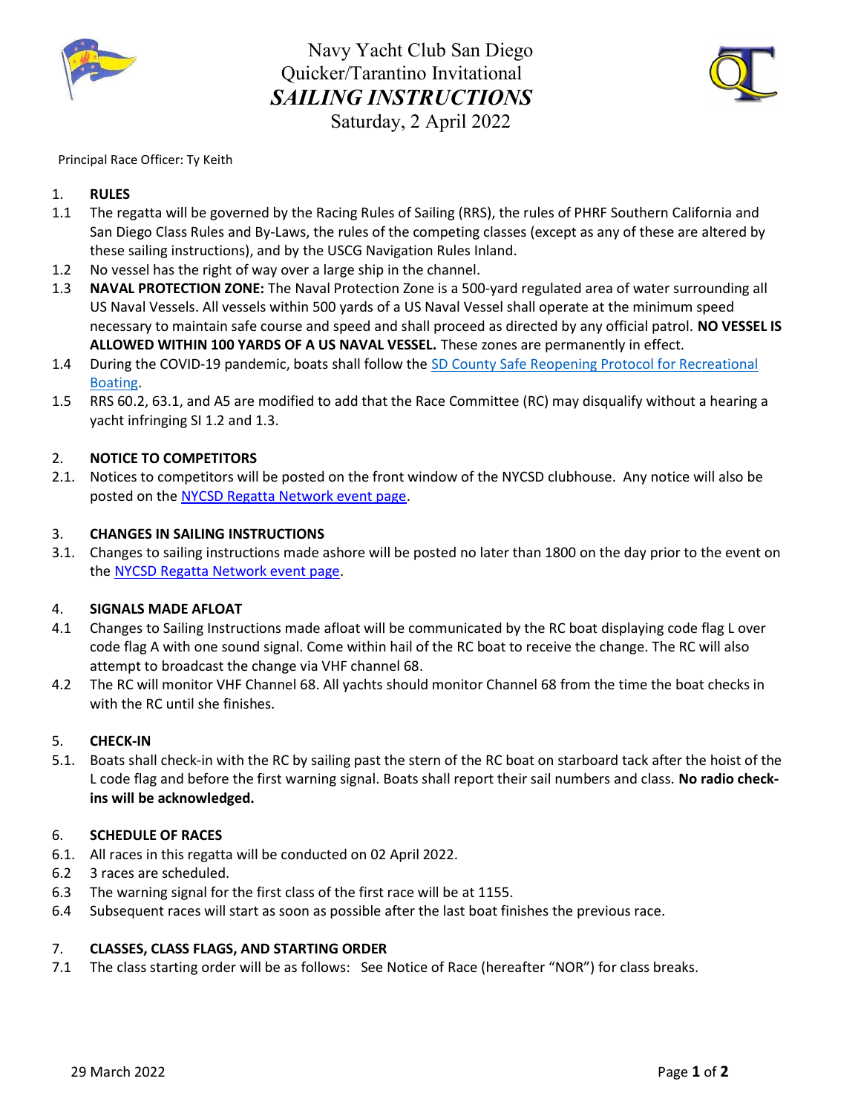

Navy Yacht Club San Diego Quicker/Tarantino Invitational SAILING INSTRUCTIONS Saturday, 2 April 2022



#### Principal Race Officer: Ty Keith

# 1. RULES

- 1.1 The regatta will be governed by the Racing Rules of Sailing (RRS), the rules of PHRF Southern California and San Diego Class Rules and By-Laws, the rules of the competing classes (except as any of these are altered by these sailing instructions), and by the USCG Navigation Rules Inland.
- 1.2 No vessel has the right of way over a large ship in the channel.
- 1.3 **NAVAL PROTECTION ZONE:** The Naval Protection Zone is a 500-yard regulated area of water surrounding all US Naval Vessels. All vessels within 500 yards of a US Naval Vessel shall operate at the minimum speed necessary to maintain safe course and speed and shall proceed as directed by any official patrol. NO VESSEL IS ALLOWED WITHIN 100 YARDS OF A US NAVAL VESSEL. These zones are permanently in effect.
- 1.4 During the COVID-19 pandemic, boats shall follow the SD County Safe Reopening Protocol for Recreational Boating.
- 1.5 RRS 60.2, 63.1, and A5 are modified to add that the Race Committee (RC) may disqualify without a hearing a yacht infringing SI 1.2 and 1.3.

## 2. NOTICE TO COMPETITORS

2.1. Notices to competitors will be posted on the front window of the NYCSD clubhouse. Any notice will also be posted on the NYCSD Regatta Network event page.

#### 3. CHANGES IN SAILING INSTRUCTIONS

3.1. Changes to sailing instructions made ashore will be posted no later than 1800 on the day prior to the event on the NYCSD Regatta Network event page.

#### 4. SIGNALS MADE AFLOAT

- 4.1 Changes to Sailing Instructions made afloat will be communicated by the RC boat displaying code flag L over code flag A with one sound signal. Come within hail of the RC boat to receive the change. The RC will also attempt to broadcast the change via VHF channel 68.
- 4.2 The RC will monitor VHF Channel 68. All yachts should monitor Channel 68 from the time the boat checks in with the RC until she finishes.

#### 5. CHECK-IN

5.1. Boats shall check-in with the RC by sailing past the stern of the RC boat on starboard tack after the hoist of the L code flag and before the first warning signal. Boats shall report their sail numbers and class. No radio checkins will be acknowledged.

#### 6. SCHEDULE OF RACES

- 6.1. All races in this regatta will be conducted on 02 April 2022.
- 6.2 3 races are scheduled.
- 6.3 The warning signal for the first class of the first race will be at 1155.
- 6.4 Subsequent races will start as soon as possible after the last boat finishes the previous race.

#### 7. CLASSES, CLASS FLAGS, AND STARTING ORDER

7.1 The class starting order will be as follows: See Notice of Race (hereafter "NOR") for class breaks.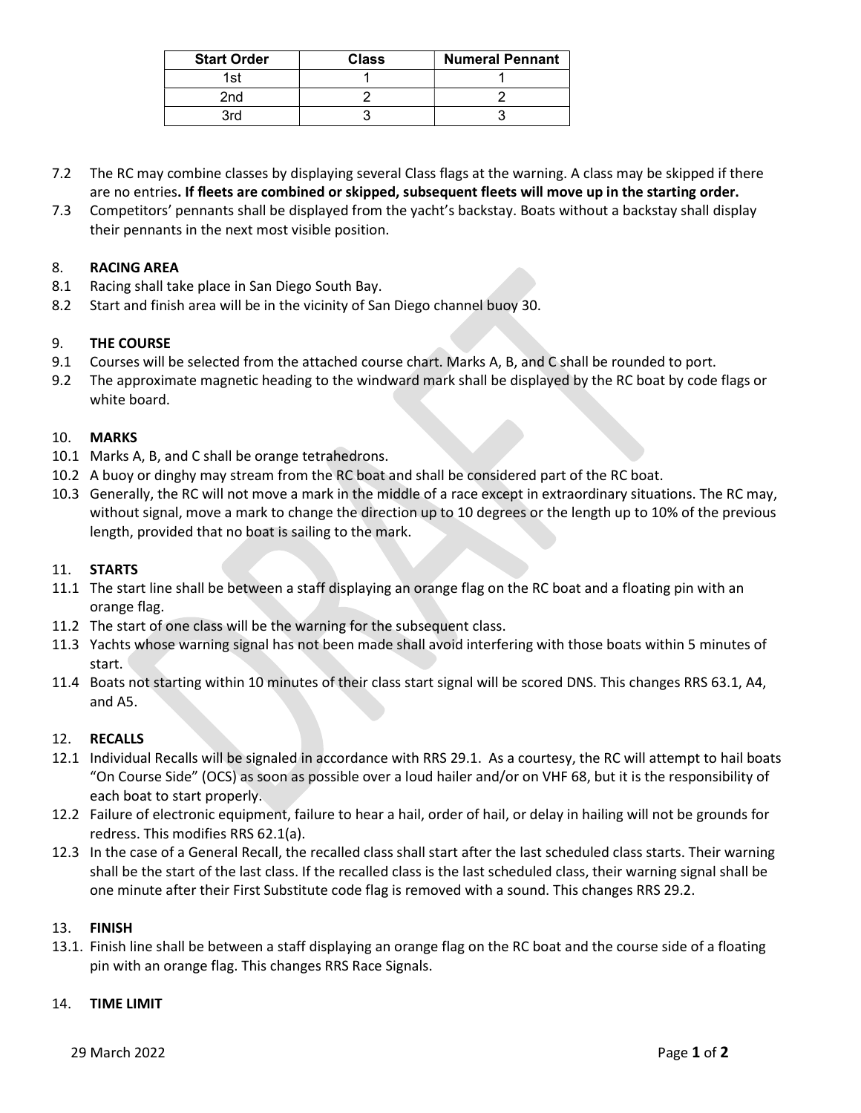| <b>Start Order</b> | Class | <b>Numeral Pennant</b> |
|--------------------|-------|------------------------|
| 1 ct               |       |                        |
| 2nd                |       |                        |
| 2rd                |       |                        |

- 7.2 The RC may combine classes by displaying several Class flags at the warning. A class may be skipped if there are no entries. If fleets are combined or skipped, subsequent fleets will move up in the starting order.
- 7.3 Competitors' pennants shall be displayed from the yacht's backstay. Boats without a backstay shall display their pennants in the next most visible position.

# 8. RACING AREA

- 8.1 Racing shall take place in San Diego South Bay.
- 8.2 Start and finish area will be in the vicinity of San Diego channel buoy 30.

## 9. THE COURSE

- 9.1 Courses will be selected from the attached course chart. Marks A, B, and C shall be rounded to port.
- 9.2 The approximate magnetic heading to the windward mark shall be displayed by the RC boat by code flags or white board.

## 10. MARKS

- 10.1 Marks A, B, and C shall be orange tetrahedrons.
- 10.2 A buoy or dinghy may stream from the RC boat and shall be considered part of the RC boat.
- 10.3 Generally, the RC will not move a mark in the middle of a race except in extraordinary situations. The RC may, without signal, move a mark to change the direction up to 10 degrees or the length up to 10% of the previous length, provided that no boat is sailing to the mark.

## 11. STARTS

- 11.1 The start line shall be between a staff displaying an orange flag on the RC boat and a floating pin with an orange flag.
- 11.2 The start of one class will be the warning for the subsequent class.
- 11.3 Yachts whose warning signal has not been made shall avoid interfering with those boats within 5 minutes of start.
- 11.4 Boats not starting within 10 minutes of their class start signal will be scored DNS. This changes RRS 63.1, A4, and A5.

## 12. RECALLS

- 12.1 Individual Recalls will be signaled in accordance with RRS 29.1. As a courtesy, the RC will attempt to hail boats "On Course Side" (OCS) as soon as possible over a loud hailer and/or on VHF 68, but it is the responsibility of each boat to start properly.
- 12.2 Failure of electronic equipment, failure to hear a hail, order of hail, or delay in hailing will not be grounds for redress. This modifies RRS 62.1(a).
- 12.3 In the case of a General Recall, the recalled class shall start after the last scheduled class starts. Their warning shall be the start of the last class. If the recalled class is the last scheduled class, their warning signal shall be one minute after their First Substitute code flag is removed with a sound. This changes RRS 29.2.

## 13. FINISH

13.1. Finish line shall be between a staff displaying an orange flag on the RC boat and the course side of a floating pin with an orange flag. This changes RRS Race Signals.

#### 14. TIME LIMIT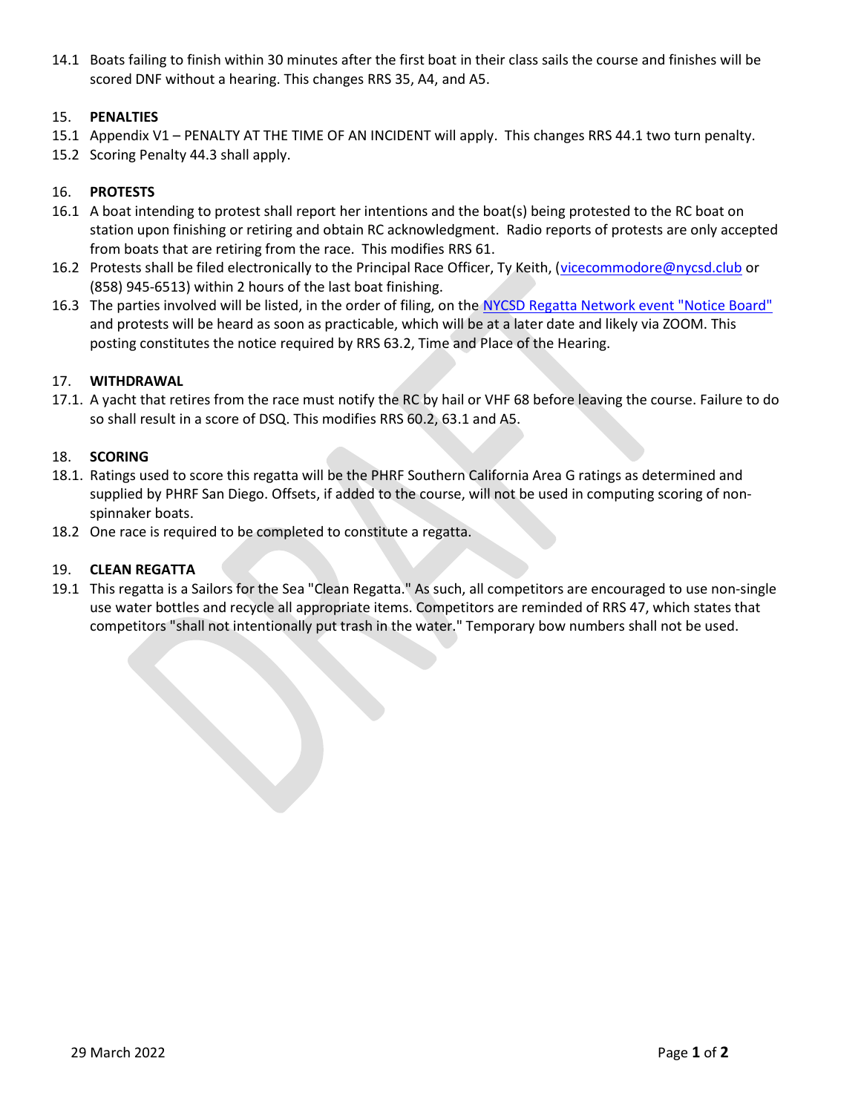14.1 Boats failing to finish within 30 minutes after the first boat in their class sails the course and finishes will be scored DNF without a hearing. This changes RRS 35, A4, and A5.

# 15. PENALTIES

- 15.1 Appendix V1 PENALTY AT THE TIME OF AN INCIDENT will apply. This changes RRS 44.1 two turn penalty.
- 15.2 Scoring Penalty 44.3 shall apply.

# 16. PROTESTS

- 16.1 A boat intending to protest shall report her intentions and the boat(s) being protested to the RC boat on station upon finishing or retiring and obtain RC acknowledgment. Radio reports of protests are only accepted from boats that are retiring from the race. This modifies RRS 61.
- 16.2 Protests shall be filed electronically to the Principal Race Officer, Ty Keith, (vicecommodore@nycsd.club or (858) 945-6513) within 2 hours of the last boat finishing.
- 16.3 The parties involved will be listed, in the order of filing, on the NYCSD Regatta Network event "Notice Board" and protests will be heard as soon as practicable, which will be at a later date and likely via ZOOM. This posting constitutes the notice required by RRS 63.2, Time and Place of the Hearing.

## 17. WITHDRAWAL

17.1. A yacht that retires from the race must notify the RC by hail or VHF 68 before leaving the course. Failure to do so shall result in a score of DSQ. This modifies RRS 60.2, 63.1 and A5.

## 18. SCORING

- 18.1. Ratings used to score this regatta will be the PHRF Southern California Area G ratings as determined and supplied by PHRF San Diego. Offsets, if added to the course, will not be used in computing scoring of nonspinnaker boats.
- 18.2 One race is required to be completed to constitute a regatta.

## 19. CLEAN REGATTA

19.1 This regatta is a Sailors for the Sea "Clean Regatta." As such, all competitors are encouraged to use non-single use water bottles and recycle all appropriate items. Competitors are reminded of RRS 47, which states that competitors "shall not intentionally put trash in the water." Temporary bow numbers shall not be used.